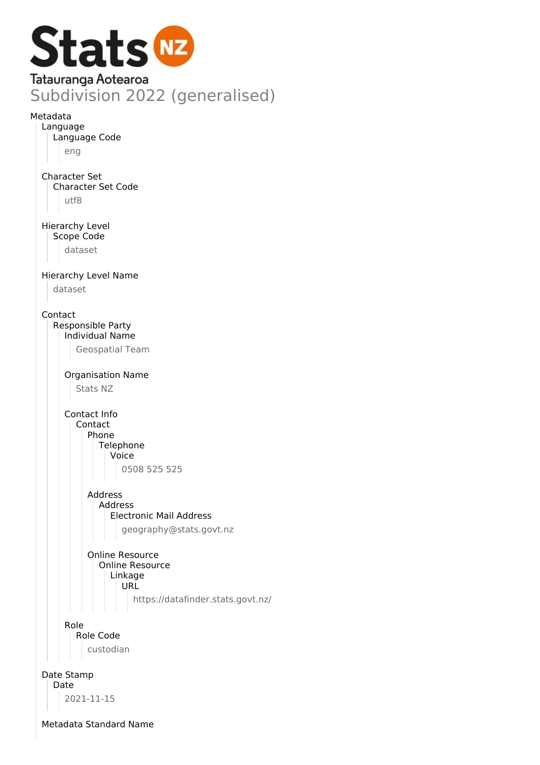

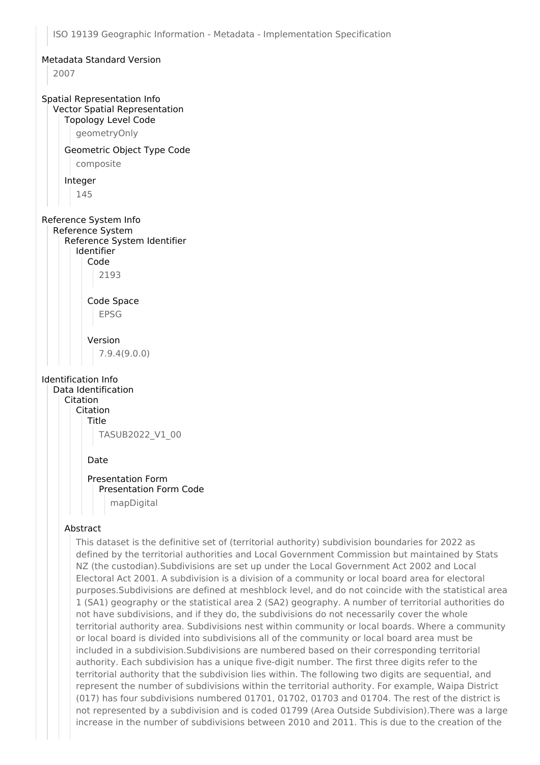### Metadata Standard Version

2007

### Spatial Representation Info Vector Spatial Representation

#### Topology Level Code

geometryOnly

# Geometric Object Type Code

composite

#### Integer

145

# Reference System Info

Reference System

### Reference System Identifier Identifier

Code

# 2193

Code Space EPSG

# Version

7.9.4(9.0.0)

### Identification Info

Data Identification Citation Citation Title TASUB2022\_V1\_00

### Date

# Presentation Form Presentation Form Code mapDigital

### Abstract

This dataset is the definitive set of (territorial authority) subdivision boundaries for 2022 as defined by the territorial authorities and Local Government Commission but maintained by Stats NZ (the custodian).Subdivisions are set up under the Local Government Act 2002 and Local Electoral Act 2001. A subdivision is a division of a community or local board area for electoral purposes.Subdivisions are defined at meshblock level, and do not coincide with the statistical area 1 (SA1) geography or the statistical area 2 (SA2) geography. A number of territorial authorities do not have subdivisions, and if they do, the subdivisions do not necessarily cover the whole territorial authority area. Subdivisions nest within community or local boards. Where a community or local board is divided into subdivisions all of the community or local board area must be included in a subdivision.Subdivisions are numbered based on their corresponding territorial authority. Each subdivision has a unique five-digit number. The first three digits refer to the territorial authority that the subdivision lies within. The following two digits are sequential, and represent the number of subdivisions within the territorial authority. For example, Waipa District (017) has four subdivisions numbered 01701, 01702, 01703 and 01704. The rest of the district is not represented by a subdivision and is coded 01799 (Area Outside Subdivision).There was a large increase in the number of subdivisions between 2010 and 2011. This is due to the creation of the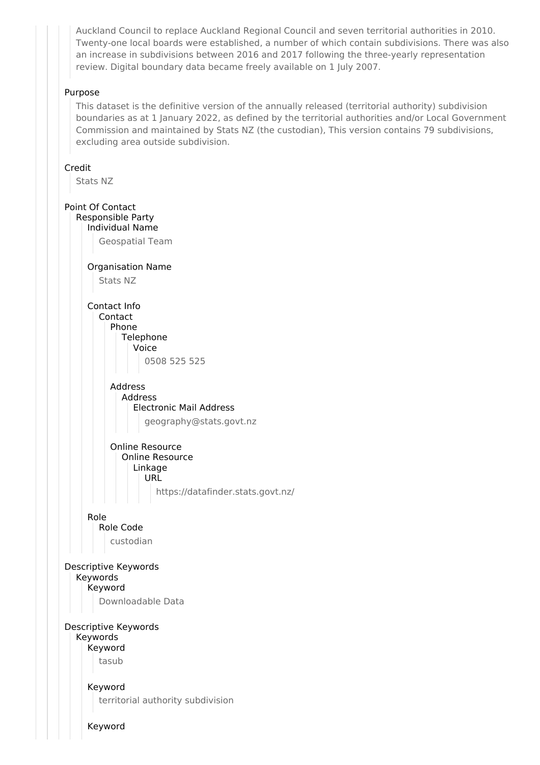Auckland Council to replace Auckland Regional Council and seven territorial authorities in 2010. Twenty-one local boards were established, a number of which contain subdivisions. There was also an increase in subdivisions between 2016 and 2017 following the three-yearly representation review. Digital boundary data became freely available on 1 July 2007.

## Purpose

This dataset is the definitive version of the annually released (territorial authority) subdivision boundaries as at 1 January 2022, as defined by the territorial authorities and/or Local Government Commission and maintained by Stats NZ (the custodian), This version contains 79 subdivisions, excluding area outside subdivision.

## Credit

Stats NZ

Point Of Contact Responsible Party Individual Name Geospatial Team Organisation Name Stats NZ Contact Info Contact Phone Telephone Voice 0508 525 525 Address Address Electronic Mail Address geography@stats.govt.nz Online Resource Online Resource Linkage URL https://datafinder.stats.govt.nz/ Role Role Code custodian Descriptive Keywords Keywords Keyword Downloadable Data Descriptive Keywords Keywords Keyword tasub Keyword territorial authority subdivision Keyword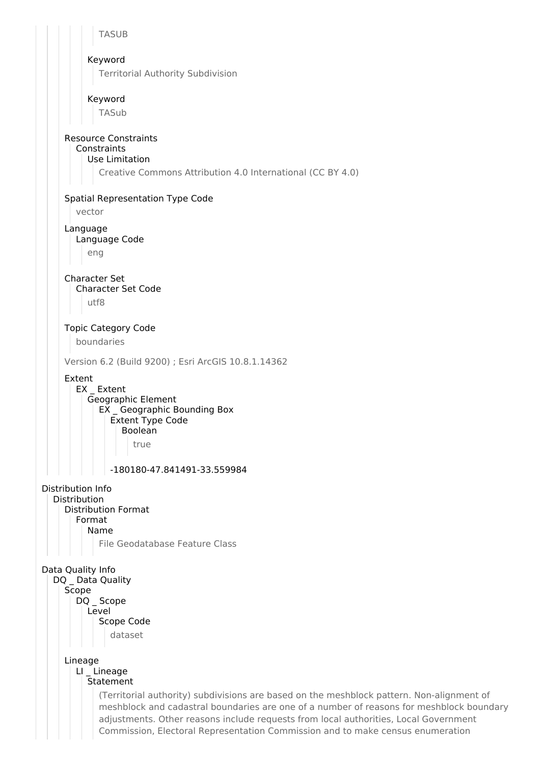**TASUB** Keyword Territorial Authority Subdivision Keyword TASub Resource Constraints **Constraints** Use Limitation Creative Commons Attribution 4.0 International (CC BY 4.0) Spatial Representation Type Code vector Language Language Code eng Character Set Character Set Code utf8 Topic Category Code boundaries Version 6.2 (Build 9200) ; Esri ArcGIS 10.8.1.14362 Extent EX Extent Geographic Element EX \_ Geographic Bounding Box Extent Type Code Boolean true -180180-47.841491-33.559984 Distribution Info Distribution Distribution Format Format Name File Geodatabase Feature Class Data Quality Info DQ \_ Data Quality Scope DQ Scope Level Scope Code dataset Lineage LI Lineage Statement (Territorial authority) subdivisions are based on the meshblock pattern. Non-alignment of meshblock and cadastral boundaries are one of a number of reasons for meshblock boundary adjustments. Other reasons include requests from local authorities, Local Government Commission, Electoral Representation Commission and to make census enumeration